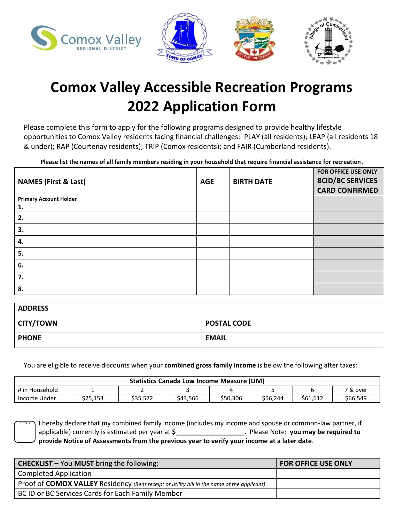



# **Comox Valley Accessible Recreation Programs 2022 Application Form**

Please complete this form to apply for the following programs designed to provide healthy lifestyle opportunities to Comox Valley residents facing financial challenges: PLAY (all residents); LEAP (all residents 18 & under); RAP (Courtenay residents); TRIP (Comox residents); and FAIR (Cumberland residents).

**Please list the names of all family members residing in your household that require financial assistance for recreation.**

| <b>NAMES (First &amp; Last)</b> | <b>AGE</b> | <b>BIRTH DATE</b> | FOR OFFICE USE ONLY<br><b>BCID/BC SERVICES</b><br><b>CARD CONFIRMED</b> |
|---------------------------------|------------|-------------------|-------------------------------------------------------------------------|
| <b>Primary Account Holder</b>   |            |                   |                                                                         |
| 1.                              |            |                   |                                                                         |
| 2.                              |            |                   |                                                                         |
| 3.                              |            |                   |                                                                         |
| 4.                              |            |                   |                                                                         |
| 5.                              |            |                   |                                                                         |
| 6.                              |            |                   |                                                                         |
| 7.                              |            |                   |                                                                         |
| 8.                              |            |                   |                                                                         |

| <b>ADDRESS</b>   |                    |
|------------------|--------------------|
| <b>CITY/TOWN</b> | <b>POSTAL CODE</b> |
| <b>PHONE</b>     | <b>EMAIL</b>       |

You are eligible to receive discounts when your **combined gross family income** is below the following after taxes:

| <b>Statistics Canada Low Income Measure (LIM)</b> |          |          |          |          |          |          |                         |
|---------------------------------------------------|----------|----------|----------|----------|----------|----------|-------------------------|
| # in<br>Household                                 |          |          |          |          |          |          | <sup>ㄱ &amp;</sup> over |
| Income Under                                      | \$25,153 | \$35.572 | \$43,566 | \$50.306 | \$56,244 | \$61.612 | \$66,549                |

I hereby declare that my combined family income (includes my income and spouse or common-law partner, if applicable) currently is estimated per year at **\$\_\_\_\_\_\_\_\_\_\_\_\_\_\_\_\_\_\_\_**. Please Note: **you may be required to provide Notice of Assessments from the previous year to verify your income at a later date**. Initials

| <b>CHECKLIST</b> - You MUST bring the following:                                            | <b>FOR OFFICE USE ONLY</b> |
|---------------------------------------------------------------------------------------------|----------------------------|
| <b>Completed Application</b>                                                                |                            |
| Proof of COMOX VALLEY Residency (Rent receipt or utility bill in the name of the applicant) |                            |
| BC ID or BC Services Cards for Each Family Member                                           |                            |